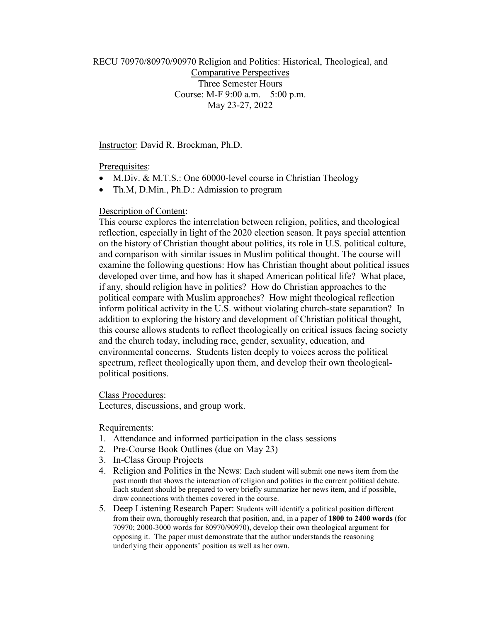RECU 70970/80970/90970 Religion and Politics: Historical, Theological, and

Comparative Perspectives Three Semester Hours Course: M-F 9:00 a.m. – 5:00 p.m. May 23-27, 2022

Instructor: David R. Brockman, Ph.D.

Prerequisites:

- M.Div. & M.T.S.: One 60000-level course in Christian Theology
- Th.M, D.Min., Ph.D.: Admission to program

## Description of Content:

This course explores the interrelation between religion, politics, and theological reflection, especially in light of the 2020 election season. It pays special attention on the history of Christian thought about politics, its role in U.S. political culture, and comparison with similar issues in Muslim political thought. The course will examine the following questions: How has Christian thought about political issues developed over time, and how has it shaped American political life? What place, if any, should religion have in politics? How do Christian approaches to the political compare with Muslim approaches? How might theological reflection inform political activity in the U.S. without violating church-state separation? In addition to exploring the history and development of Christian political thought, this course allows students to reflect theologically on critical issues facing society and the church today, including race, gender, sexuality, education, and environmental concerns. Students listen deeply to voices across the political spectrum, reflect theologically upon them, and develop their own theologicalpolitical positions.

Class Procedures:

Lectures, discussions, and group work.

Requirements:

- 1. Attendance and informed participation in the class sessions
- 2. Pre-Course Book Outlines (due on May 23)
- 3. In-Class Group Projects
- 4. Religion and Politics in the News: Each student will submit one news item from the past month that shows the interaction of religion and politics in the current political debate. Each student should be prepared to very briefly summarize her news item, and if possible, draw connections with themes covered in the course.
- 5. Deep Listening Research Paper: Students will identify a political position different from their own, thoroughly research that position, and, in a paper of **1800 to 2400 words** (for 70970; 2000-3000 words for 80970/90970), develop their own theological argument for opposing it. The paper must demonstrate that the author understands the reasoning underlying their opponents' position as well as her own.